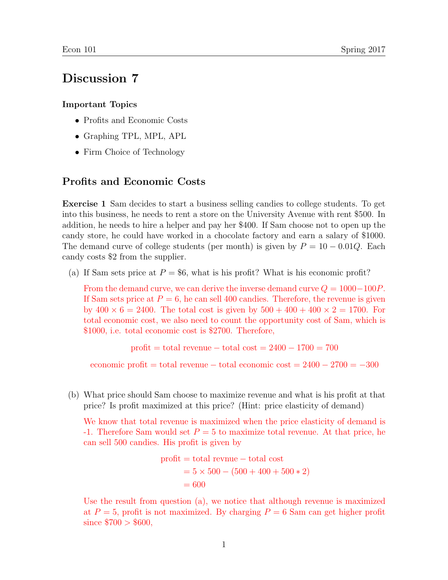# Discussion 7

#### Important Topics

- Profits and Economic Costs
- Graphing TPL, MPL, APL
- Firm Choice of Technology

#### Profits and Economic Costs

Exercise 1 Sam decides to start a business selling candies to college students. To get into this business, he needs to rent a store on the University Avenue with rent \$500. In addition, he needs to hire a helper and pay her \$400. If Sam choose not to open up the candy store, he could have worked in a chocolate factory and earn a salary of \$1000. The demand curve of college students (per month) is given by  $P = 10 - 0.01Q$ . Each candy costs \$2 from the supplier.

(a) If Sam sets price at  $P = $6$ , what is his profit? What is his economic profit?

From the demand curve, we can derive the inverse demand curve  $Q = 1000-100P$ . If Sam sets price at  $P = 6$ , he can sell 400 candies. Therefore, the revenue is given by  $400 \times 6 = 2400$ . The total cost is given by  $500 + 400 + 400 \times 2 = 1700$ . For total economic cost, we also need to count the opportunity cost of Sam, which is \$1000, i.e. total economic cost is \$2700. Therefore,

profit = total revenue – total cost =  $2400 - 1700 = 700$ 

economic profit = total revenue – total economic cost =  $2400 - 2700 = -300$ 

(b) What price should Sam choose to maximize revenue and what is his profit at that price? Is profit maximized at this price? (Hint: price elasticity of demand)

We know that total revenue is maximized when the price elasticity of demand is -1. Therefore Sam would set  $P = 5$  to maximize total revenue. At that price, he can sell 500 candies. His profit is given by

profit = total revenue – total cost  
= 
$$
5 \times 500 - (500 + 400 + 500 * 2)
$$
  
= 600

Use the result from question (a), we notice that although revenue is maximized at  $P = 5$ , profit is not maximized. By charging  $P = 6$  Sam can get higher profit since  $$700 > $600$ ,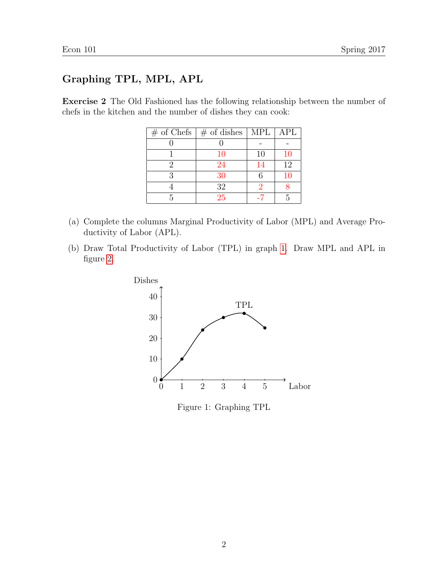## Graphing TPL, MPL, APL

Exercise 2 The Old Fashioned has the following relationship between the number of chefs in the kitchen and the number of dishes they can cook:

| $\#$ of Chefs $\#$ of dishes | MPL | APL       |
|------------------------------|-----|-----------|
|                              |     |           |
| <b>10</b>                    | 10  | <b>10</b> |
| 24                           | 14  | 12        |
| 30                           | 6   | 10        |
| 32                           |     |           |
| 25                           |     |           |

- (a) Complete the columns Marginal Productivity of Labor (MPL) and Average Productivity of Labor (APL).
- (b) Draw Total Productivity of Labor (TPL) in graph [1.](#page-1-0) Draw MPL and APL in figure [2.](#page-2-0)



<span id="page-1-0"></span>Figure 1: Graphing TPL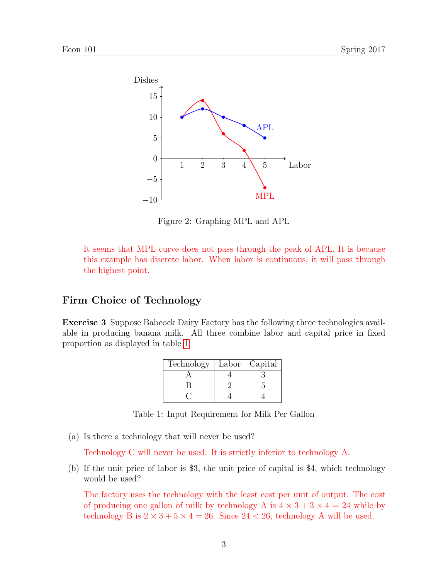

<span id="page-2-0"></span>Figure 2: Graphing MPL and APL

It seems that MPL curve does not pass through the peak of APL. It is because this example has discrete labor. When labor is continuous, it will pass through the highest point.

### Firm Choice of Technology

Exercise 3 Suppose Babcock Dairy Factory has the following three technologies available in producing banana milk. All three combine labor and capital price in fixed proportion as displayed in table [1.](#page-2-1)

<span id="page-2-1"></span>

| Technology | Labor | Capital |
|------------|-------|---------|
|            |       |         |
|            |       |         |
|            |       |         |

Table 1: Input Requirement for Milk Per Gallon

(a) Is there a technology that will never be used?

Technology C will never be used. It is strictly inferior to technology A.

(b) If the unit price of labor is \$3, the unit price of capital is \$4, which technology would be used?

The factory uses the technology with the least cost per unit of output. The cost of producing one gallon of milk by technology A is  $4 \times 3 + 3 \times 4 = 24$  while by technology B is  $2 \times 3 + 5 \times 4 = 26$ . Since  $24 < 26$ , technology A will be used.